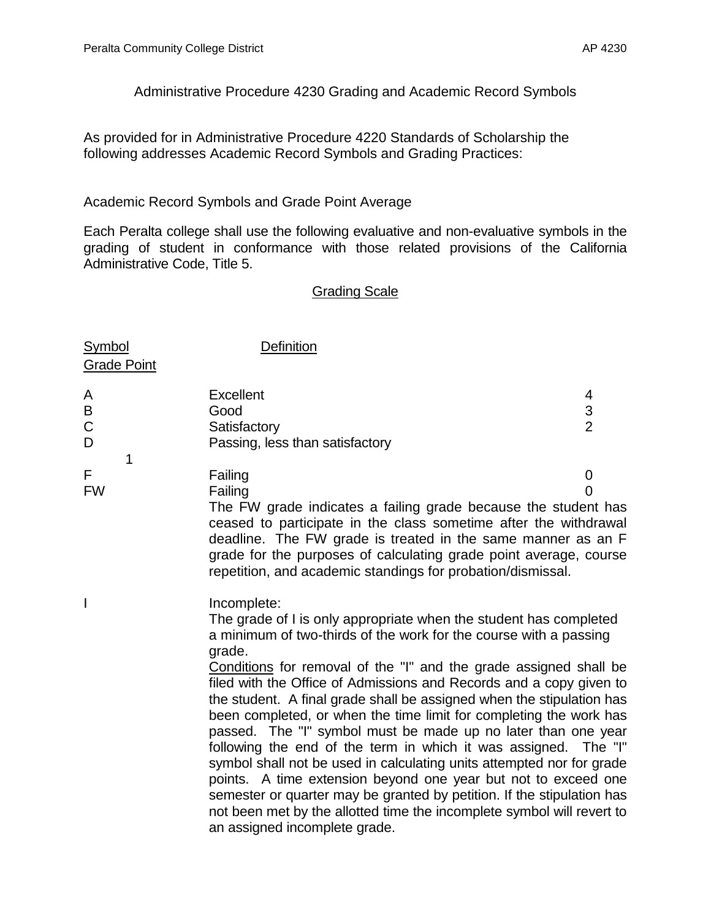Administrative Procedure 4230 Grading and Academic Record Symbols

As provided for in Administrative Procedure 4220 Standards of Scholarship the following addresses Academic Record Symbols and Grading Practices:

## Academic Record Symbols and Grade Point Average

Each Peralta college shall use the following evaluative and non-evaluative symbols in the grading of student in conformance with those related provisions of the California Administrative Code, Title 5.

## Grading Scale

| Symbol             | <b>Definition</b>                                                |   |
|--------------------|------------------------------------------------------------------|---|
| <b>Grade Point</b> |                                                                  |   |
| A                  | <b>Excellent</b>                                                 | 4 |
| B                  | Good                                                             | 3 |
| $\mathsf{C}$       | Satisfactory                                                     | 2 |
| D                  | Passing, less than satisfactory                                  |   |
|                    |                                                                  |   |
| F                  | Failing                                                          |   |
| <b>FW</b>          | Failing                                                          |   |
|                    | The FW grade indicates a failing grade because the student has   |   |
|                    | ceased to participate in the class sometime after the withdrawal |   |
|                    | deadline. The FW grade is treated in the same manner as an F     |   |

ceased to participate in the class sometime after the withdrawal idine. The FW grade is treated in the same manner as an F grade for the purposes of calculating grade point average, course repetition, and academic standings for probation/dismissal.

I Incomplete: The grade of I is only appropriate when the student has completed a minimum of two-thirds of the work for the course with a passing grade. Conditions for removal of the "I" and the grade assigned shall be filed with the Office of Admissions and Records and a copy given to the student. A final grade shall be assigned when the stipulation has been completed, or when the time limit for completing the work has passed. The "I" symbol must be made up no later than one year following the end of the term in which it was assigned. The "I" symbol shall not be used in calculating units attempted nor for grade points. A time extension beyond one year but not to exceed one semester or quarter may be granted by petition. If the stipulation has not been met by the allotted time the incomplete symbol will revert to an assigned incomplete grade.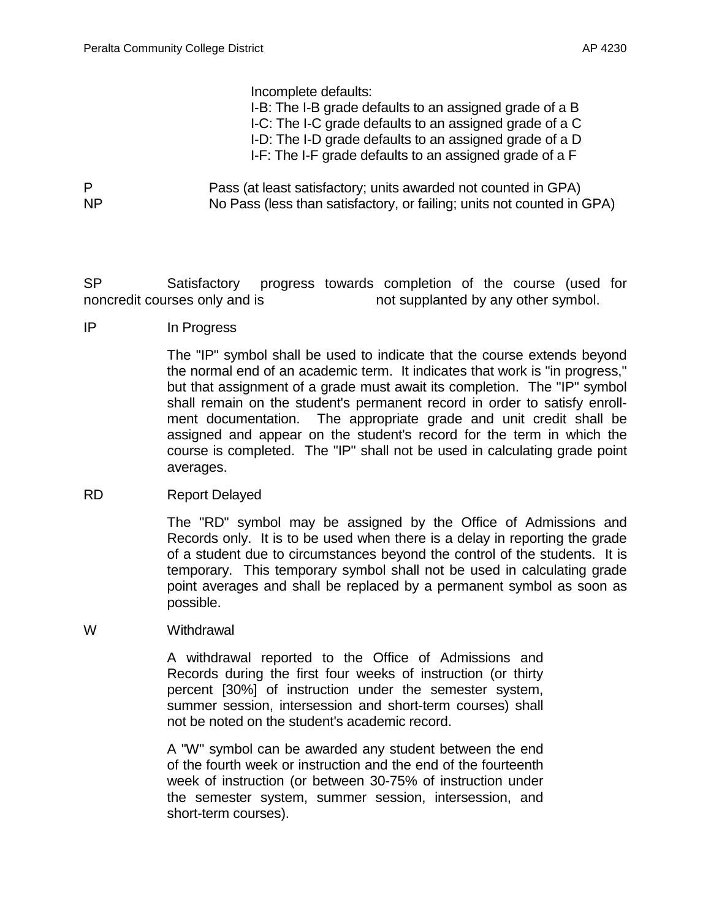Incomplete defaults:

I-B: The I-B grade defaults to an assigned grade of a B I-C: The I-C grade defaults to an assigned grade of a C I-D: The I-D grade defaults to an assigned grade of a D

- I-F: The I-F grade defaults to an assigned grade of a F
- P Pass (at least satisfactory; units awarded not counted in GPA) NP No Pass (less than satisfactory, or failing; units not counted in GPA)

SP Satisfactory progress towards completion of the course (used for noncredit courses only and is not supplanted by any other symbol.

IP In Progress

The "IP" symbol shall be used to indicate that the course extends beyond the normal end of an academic term. It indicates that work is "in progress," but that assignment of a grade must await its completion. The "IP" symbol shall remain on the student's permanent record in order to satisfy enrollment documentation. The appropriate grade and unit credit shall be assigned and appear on the student's record for the term in which the course is completed. The "IP" shall not be used in calculating grade point averages.

RD Report Delayed

The "RD" symbol may be assigned by the Office of Admissions and Records only. It is to be used when there is a delay in reporting the grade of a student due to circumstances beyond the control of the students. It is temporary. This temporary symbol shall not be used in calculating grade point averages and shall be replaced by a permanent symbol as soon as possible.

W Withdrawal

A withdrawal reported to the Office of Admissions and Records during the first four weeks of instruction (or thirty percent [30%] of instruction under the semester system, summer session, intersession and short-term courses) shall not be noted on the student's academic record.

A "W" symbol can be awarded any student between the end of the fourth week or instruction and the end of the fourteenth week of instruction (or between 30-75% of instruction under the semester system, summer session, intersession, and short-term courses).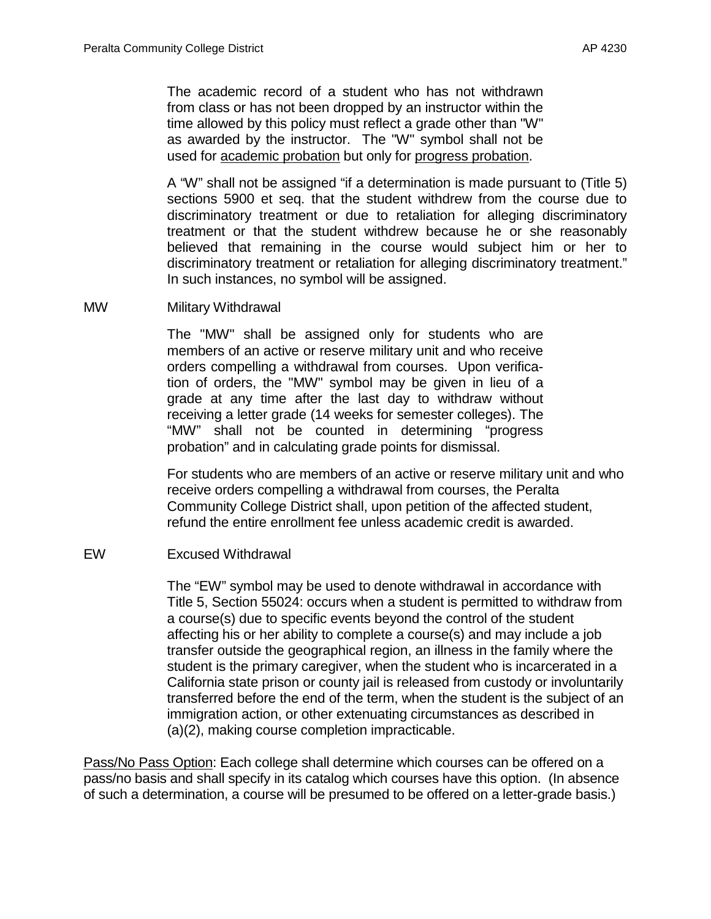The academic record of a student who has not withdrawn from class or has not been dropped by an instructor within the time allowed by this policy must reflect a grade other than "W" as awarded by the instructor. The "W" symbol shall not be used for academic probation but only for progress probation.

A "W" shall not be assigned "if a determination is made pursuant to (Title 5) sections 5900 et seq. that the student withdrew from the course due to discriminatory treatment or due to retaliation for alleging discriminatory treatment or that the student withdrew because he or she reasonably believed that remaining in the course would subject him or her to discriminatory treatment or retaliation for alleging discriminatory treatment." In such instances, no symbol will be assigned.

MW Military Withdrawal

The "MW" shall be assigned only for students who are members of an active or reserve military unit and who receive orders compelling a withdrawal from courses. Upon verification of orders, the "MW" symbol may be given in lieu of a grade at any time after the last day to withdraw without receiving a letter grade (14 weeks for semester colleges). The "MW" shall not be counted in determining "progress probation" and in calculating grade points for dismissal.

For students who are members of an active or reserve military unit and who receive orders compelling a withdrawal from courses, the Peralta Community College District shall, upon petition of the affected student, refund the entire enrollment fee unless academic credit is awarded.

## EW Excused Withdrawal

The "EW" symbol may be used to denote withdrawal in accordance with Title 5, Section 55024: occurs when a student is permitted to withdraw from a course(s) due to specific events beyond the control of the student affecting his or her ability to complete a course(s) and may include a job transfer outside the geographical region, an illness in the family where the student is the primary caregiver, when the student who is incarcerated in a California state prison or county jail is released from custody or involuntarily transferred before the end of the term, when the student is the subject of an immigration action, or other extenuating circumstances as described in (a)(2), making course completion impracticable.

Pass/No Pass Option: Each college shall determine which courses can be offered on a pass/no basis and shall specify in its catalog which courses have this option. (In absence of such a determination, a course will be presumed to be offered on a letter-grade basis.)